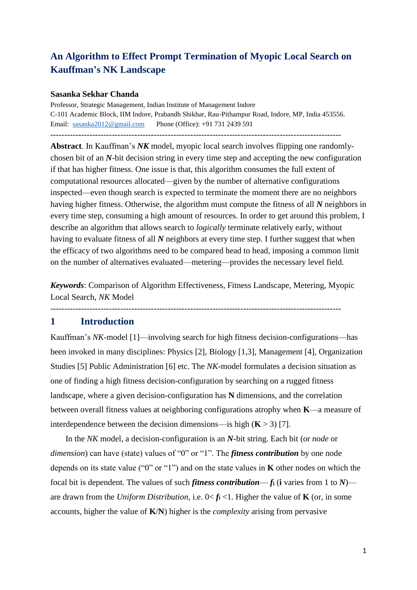# **An Algorithm to Effect Prompt Termination of Myopic Local Search on Kauffman's NK Landscape**

#### **Sasanka Sekhar Chanda**

Professor, Strategic Management, Indian Institute of Management Indore C-101 Academic Block, IIM Indore, Prabandh Shikhar, Rau-Pithampur Road, Indore, MP, India 453556. Email: [sasanka2012@gmail.com](mailto:sasanka2012@gmail.com) Phone (Office): +91 731 2439 591

--------------------------------------------------------------------------------------------------------

**Abstract**. In Kauffman's *NK* model, myopic local search involves flipping one randomlychosen bit of an *N*-bit decision string in every time step and accepting the new configuration if that has higher fitness. One issue is that, this algorithm consumes the full extent of computational resources allocated—given by the number of alternative configurations inspected—even though search is expected to terminate the moment there are no neighbors having higher fitness. Otherwise, the algorithm must compute the fitness of all *N* neighbors in every time step, consuming a high amount of resources. In order to get around this problem, I describe an algorithm that allows search to *logically* terminate relatively early, without having to evaluate fitness of all *N* neighbors at every time step. I further suggest that when the efficacy of two algorithms need to be compared head to head, imposing a common limit on the number of alternatives evaluated—metering—provides the necessary level field.

*Keywords*: Comparison of Algorithm Effectiveness, Fitness Landscape, Metering, Myopic Local Search, *NK* Model

--------------------------------------------------------------------------------------------------------

## **1 Introduction**

Kauffman's *NK*-model [1]—involving search for high fitness decision-configurations—has been invoked in many disciplines: Physics [2], Biology [1,3], Management [4], Organization Studies [5] Public Administration [6] etc. The *NK*-model formulates a decision situation as one of finding a high fitness decision-configuration by searching on a rugged fitness landscape, where a given decision-configuration has **N** dimensions, and the correlation between overall fitness values at neighboring configurations atrophy when **K**—a measure of interdependence between the decision dimensions—is high  $(K > 3)$  [7].

In the *NK* model, a decision-configuration is an *N*-bit string. Each bit (or *node* or *dimension*) can have (state) values of "0" or "1". The *fitness contribution* by one node depends on its state value ("0" or "1") and on the state values in **K** other nodes on which the focal bit is dependent. The values of such *fitness contribution—fi* (*i* varies from 1 to  $N$ ) are drawn from the *Uniform Distribution*, i.e.  $0 < f_i < 1$ . Higher the value of **K** (or, in some accounts, higher the value of **K**/**N**) higher is the *complexity* arising from pervasive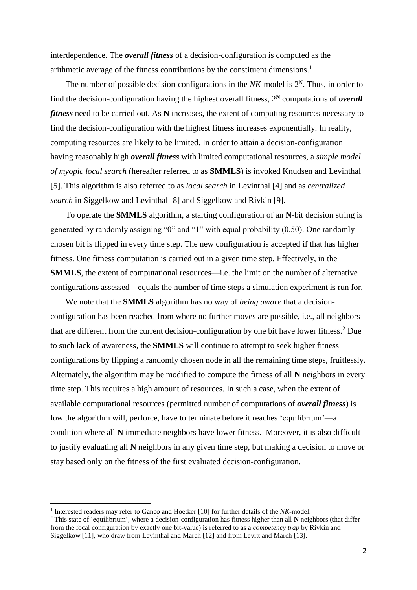interdependence. The *overall fitness* of a decision-configuration is computed as the arithmetic average of the fitness contributions by the constituent dimensions.<sup>1</sup>

The number of possible decision-configurations in the *NK-*model is 2**<sup>N</sup>**. Thus, in order to find the decision-configuration having the highest overall fitness, 2**<sup>N</sup>** computations of *overall fitness* need to be carried out. As **N** increases, the extent of computing resources necessary to find the decision-configuration with the highest fitness increases exponentially. In reality, computing resources are likely to be limited. In order to attain a decision-configuration having reasonably high *overall fitness* with limited computational resources, a *simple model of myopic local search* (hereafter referred to as **SMMLS**) is invoked Knudsen and Levinthal [5]. This algorithm is also referred to as *local search* in Levinthal [4] and as *centralized search* in Siggelkow and Levinthal [8] and Siggelkow and Rivkin [9].

To operate the **SMMLS** algorithm, a starting configuration of an **N**-bit decision string is generated by randomly assigning "0" and "1" with equal probability (0.50). One randomlychosen bit is flipped in every time step. The new configuration is accepted if that has higher fitness. One fitness computation is carried out in a given time step. Effectively, in the **SMMLS**, the extent of computational resources—i.e. the limit on the number of alternative configurations assessed—equals the number of time steps a simulation experiment is run for.

We note that the **SMMLS** algorithm has no way of *being aware* that a decisionconfiguration has been reached from where no further moves are possible, i.e., all neighbors that are different from the current decision-configuration by one bit have lower fitness.<sup>2</sup> Due to such lack of awareness, the **SMMLS** will continue to attempt to seek higher fitness configurations by flipping a randomly chosen node in all the remaining time steps, fruitlessly. Alternately, the algorithm may be modified to compute the fitness of all **N** neighbors in every time step. This requires a high amount of resources. In such a case, when the extent of available computational resources (permitted number of computations of *overall fitness*) is low the algorithm will, perforce, have to terminate before it reaches 'equilibrium'—a condition where all **N** immediate neighbors have lower fitness. Moreover, it is also difficult to justify evaluating all **N** neighbors in any given time step, but making a decision to move or stay based only on the fitness of the first evaluated decision-configuration.

**.** 

<sup>&</sup>lt;sup>1</sup> Interested readers may refer to Ganco and Hoetker [10] for further details of the *NK*-model.

<sup>2</sup> This state of 'equilibrium', where a decision-configuration has fitness higher than all **N** neighbors (that differ from the focal configuration by exactly one bit-value) is referred to as a *competency trap* by Rivkin and Siggelkow [11], who draw from Levinthal and March [12] and from Levitt and March [13].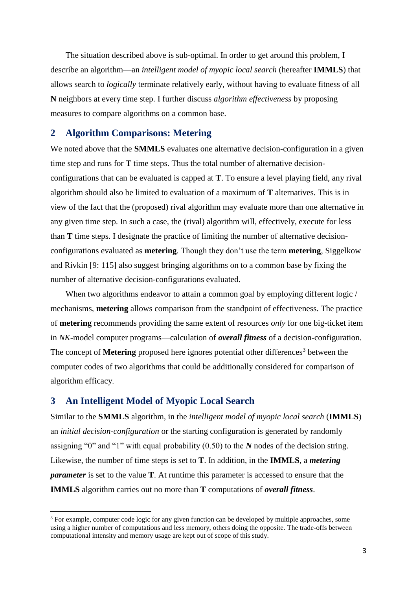The situation described above is sub-optimal. In order to get around this problem, I describe an algorithm—an *intelligent model of myopic local search* (hereafter **IMMLS**) that allows search to *logically* terminate relatively early, without having to evaluate fitness of all **N** neighbors at every time step. I further discuss *algorithm effectiveness* by proposing measures to compare algorithms on a common base.

## **2 Algorithm Comparisons: Metering**

We noted above that the **SMMLS** evaluates one alternative decision-configuration in a given time step and runs for **T** time steps. Thus the total number of alternative decisionconfigurations that can be evaluated is capped at **T**. To ensure a level playing field, any rival algorithm should also be limited to evaluation of a maximum of **T** alternatives. This is in view of the fact that the (proposed) rival algorithm may evaluate more than one alternative in any given time step. In such a case, the (rival) algorithm will, effectively, execute for less than **T** time steps. I designate the practice of limiting the number of alternative decisionconfigurations evaluated as **metering**. Though they don't use the term **metering**, Siggelkow and Rivkin [9: 115] also suggest bringing algorithms on to a common base by fixing the number of alternative decision-configurations evaluated.

When two algorithms endeavor to attain a common goal by employing different logic / mechanisms, **metering** allows comparison from the standpoint of effectiveness. The practice of **metering** recommends providing the same extent of resources *only* for one big-ticket item in *NK*-model computer programs—calculation of *overall fitness* of a decision-configuration. The concept of Metering proposed here ignores potential other differences<sup>3</sup> between the computer codes of two algorithms that could be additionally considered for comparison of algorithm efficacy.

## **3 An Intelligent Model of Myopic Local Search**

 $\overline{a}$ 

Similar to the **SMMLS** algorithm, in the *intelligent model of myopic local search* (**IMMLS**) an *initial decision-configuration* or the starting configuration is generated by randomly assigning "0" and "1" with equal probability (0.50) to the *N* nodes of the decision string. Likewise, the number of time steps is set to **T**. In addition, in the **IMMLS**, a *metering parameter* is set to the value **T**. At runtime this parameter is accessed to ensure that the **IMMLS** algorithm carries out no more than **T** computations of *overall fitness*.

<sup>3</sup> For example, computer code logic for any given function can be developed by multiple approaches, some using a higher number of computations and less memory, others doing the opposite. The trade-offs between computational intensity and memory usage are kept out of scope of this study.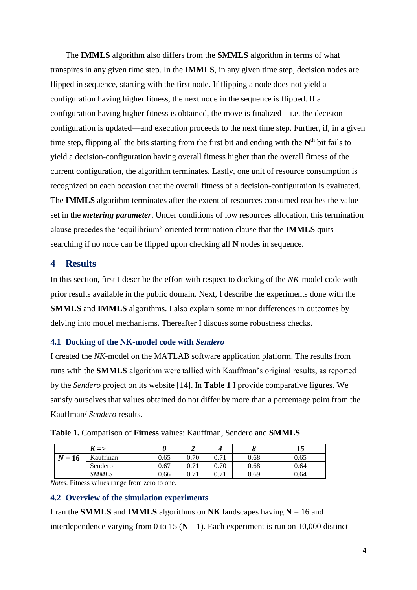The **IMMLS** algorithm also differs from the **SMMLS** algorithm in terms of what transpires in any given time step. In the **IMMLS**, in any given time step, decision nodes are flipped in sequence, starting with the first node. If flipping a node does not yield a configuration having higher fitness, the next node in the sequence is flipped. If a configuration having higher fitness is obtained, the move is finalized—i.e. the decisionconfiguration is updated—and execution proceeds to the next time step. Further, if, in a given time step, flipping all the bits starting from the first bit and ending with the  $N<sup>th</sup>$  bit fails to yield a decision-configuration having overall fitness higher than the overall fitness of the current configuration, the algorithm terminates. Lastly, one unit of resource consumption is recognized on each occasion that the overall fitness of a decision-configuration is evaluated. The **IMMLS** algorithm terminates after the extent of resources consumed reaches the value set in the *metering parameter*. Under conditions of low resources allocation, this termination clause precedes the 'equilibrium'-oriented termination clause that the **IMMLS** quits searching if no node can be flipped upon checking all **N** nodes in sequence.

## **4 Results**

In this section, first I describe the effort with respect to docking of the *NK*-model code with prior results available in the public domain. Next, I describe the experiments done with the **SMMLS** and **IMMLS** algorithms. I also explain some minor differences in outcomes by delving into model mechanisms. Thereafter I discuss some robustness checks.

#### **4.1 Docking of the NK-model code with** *Sendero*

I created the *NK*-model on the MATLAB software application platform. The results from runs with the **SMMLS** algorithm were tallied with Kauffman's original results, as reported by the *Sendero* project on its website [14]. In **Table 1** I provide comparative figures. We satisfy ourselves that values obtained do not differ by more than a percentage point from the Kauffman/ *Sendero* results.

|          | T<br>$K \equiv >$ |      |                |              |      | IJ   |
|----------|-------------------|------|----------------|--------------|------|------|
| $N = 16$ | Kauffman          | 0.65 | 0.70           | 0.71         | 0.68 | 0.65 |
|          | Sendero           | 0.67 | 0.71<br>V. / 1 | 0.70         | 0.68 | 0.64 |
|          | <b>SMMLS</b>      | 0.66 | 0.71<br>V. / 1 | 71<br>V. / 1 | 0.69 | 0.64 |

|  |  | Table 1. Comparison of Fitness values: Kauffman, Sendero and SMMLS |  |  |
|--|--|--------------------------------------------------------------------|--|--|
|--|--|--------------------------------------------------------------------|--|--|

*Notes.* Fitness values range from zero to one.

#### **4.2 Overview of the simulation experiments**

I ran the **SMMLS** and **IMMLS** algorithms on **NK** landscapes having  $N = 16$  and interdependence varying from 0 to 15  $(N - 1)$ . Each experiment is run on 10,000 distinct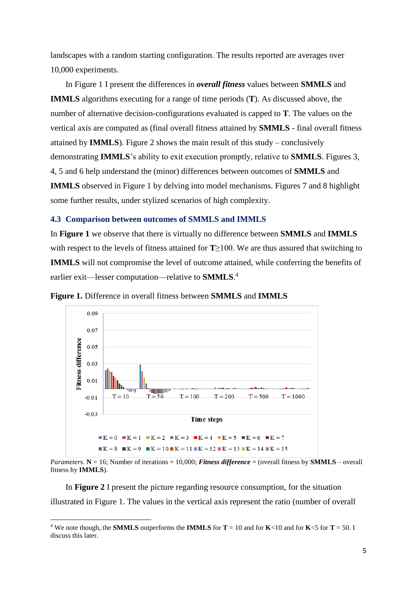landscapes with a random starting configuration. The results reported are averages over 10,000 experiments.

In Figure 1 I present the differences in *overall fitness* values between **SMMLS** and **IMMLS** algorithms executing for a range of time periods (**T**). As discussed above, the number of alternative decision-configurations evaluated is capped to **T**. The values on the vertical axis are computed as (final overall fitness attained by **SMMLS** - final overall fitness attained by **IMMLS**). Figure 2 shows the main result of this study – conclusively demonstrating **IMMLS**'s ability to exit execution promptly, relative to **SMMLS**. Figures 3, 4, 5 and 6 help understand the (minor) differences between outcomes of **SMMLS** and **IMMLS** observed in Figure 1 by delving into model mechanisms. Figures 7 and 8 highlight some further results, under stylized scenarios of high complexity.

#### **4.3 Comparison between outcomes of SMMLS and IMMLS**

In **Figure 1** we observe that there is virtually no difference between **SMMLS** and **IMMLS** with respect to the levels of fitness attained for **T**≥100. We are thus assured that switching to **IMMLS** will not compromise the level of outcome attained, while conferring the benefits of earlier exit—lesser computation—relative to **SMMLS**. 4



**Figure 1.** Difference in overall fitness between **SMMLS** and **IMMLS**

*Parameters.* **N** = 16; Number of iterations = 10,000; *Fitness difference* = (overall fitness by **SMMLS** – overall fitness by **IMMLS**).

In **Figure 2** I present the picture regarding resource consumption, for the situation illustrated in Figure 1. The values in the vertical axis represent the ratio (number of overall

1

<sup>&</sup>lt;sup>4</sup> We note though, the **SMMLS** outperforms the **IMMLS** for  $T = 10$  and for **K**<10 and for **K**<5 for  $T = 50$ . I discuss this later.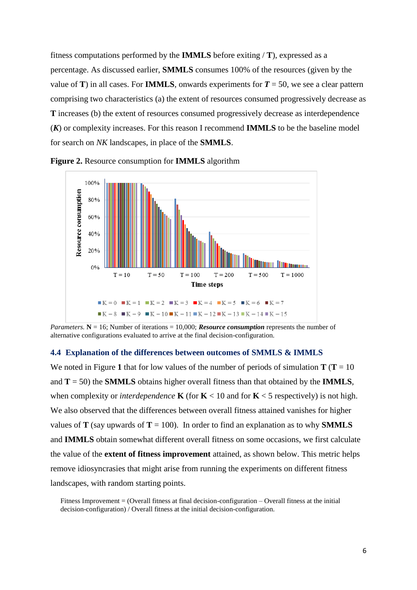fitness computations performed by the **IMMLS** before exiting / **T**), expressed as a percentage. As discussed earlier, **SMMLS** consumes 100% of the resources (given by the value of **T**) in all cases. For **IMMLS**, onwards experiments for  $T = 50$ , we see a clear pattern comprising two characteristics (a) the extent of resources consumed progressively decrease as **T** increases (b) the extent of resources consumed progressively decrease as interdependence (*K*) or complexity increases. For this reason I recommend **IMMLS** to be the baseline model for search on *NK* landscapes, in place of the **SMMLS**.



**Figure 2.** Resource consumption for **IMMLS** algorithm

*Parameters.*  $N = 16$ ; Number of iterations = 10,000; *Resource consumption* represents the number of alternative configurations evaluated to arrive at the final decision-configuration.

#### **4.4 Explanation of the differences between outcomes of SMMLS & IMMLS**

We noted in Figure 1 that for low values of the number of periods of simulation  $T(T = 10$ and **T** = 50) the **SMMLS** obtains higher overall fitness than that obtained by the **IMMLS**, when complexity or *interdependence* **K** (for **K** < 10 and for **K** < 5 respectively) is not high. We also observed that the differences between overall fitness attained vanishes for higher values of **T** (say upwards of **T** = 100). In order to find an explanation as to why **SMMLS** and **IMMLS** obtain somewhat different overall fitness on some occasions, we first calculate the value of the **extent of fitness improvement** attained, as shown below. This metric helps remove idiosyncrasies that might arise from running the experiments on different fitness landscapes, with random starting points.

Fitness Improvement = (Overall fitness at final decision-configuration – Overall fitness at the initial decision-configuration) / Overall fitness at the initial decision-configuration.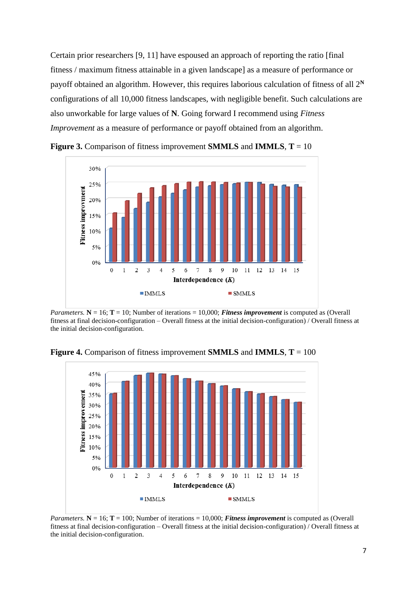Certain prior researchers [9, 11] have espoused an approach of reporting the ratio [final fitness / maximum fitness attainable in a given landscape] as a measure of performance or payoff obtained an algorithm. However, this requires laborious calculation of fitness of all 2**<sup>N</sup>** configurations of all 10,000 fitness landscapes, with negligible benefit. Such calculations are also unworkable for large values of **N**. Going forward I recommend using *Fitness Improvement* as a measure of performance or payoff obtained from an algorithm.



**Figure 3.** Comparison of fitness improvement **SMMLS** and **IMMLS**, **T** = 10

*Parameters.*  $N = 16$ ;  $T = 10$ ; Number of iterations = 10,000; *Fitness improvement* is computed as (Overall fitness at final decision-configuration – Overall fitness at the initial decision-configuration) / Overall fitness at the initial decision-configuration.



**Figure 4.** Comparison of fitness improvement **SMMLS** and **IMMLS**, **T** = 100

*Parameters.*  $N = 16$ ;  $T = 100$ ; Number of iterations = 10,000; *Fitness improvement* is computed as (Overall fitness at final decision-configuration – Overall fitness at the initial decision-configuration) / Overall fitness at the initial decision-configuration.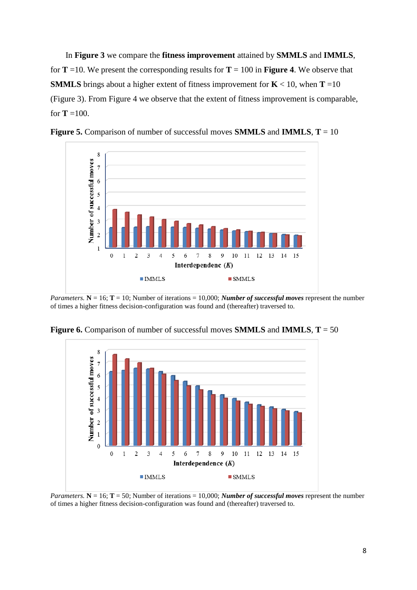In **Figure 3** we compare the **fitness improvement** attained by **SMMLS** and **IMMLS**, for  $T = 10$ . We present the corresponding results for  $T = 100$  in **Figure 4**. We observe that **SMMLS** brings about a higher extent of fitness improvement for  $K < 10$ , when **T** =10 (Figure 3). From Figure 4 we observe that the extent of fitness improvement is comparable, for  $T = 100$ .



**Figure 5.** Comparison of number of successful moves **SMMLS** and **IMMLS**, **T** = 10

*Parameters.*  $N = 16$ ;  $T = 10$ ; Number of iterations = 10,000; *Number of successful moves* represent the number of times a higher fitness decision-configuration was found and (thereafter) traversed to.



**Figure 6.** Comparison of number of successful moves **SMMLS** and **IMMLS**, **T** = 50

*Parameters.*  $N = 16$ ;  $T = 50$ ; Number of iterations = 10,000; *Number of successful moves* represent the number of times a higher fitness decision-configuration was found and (thereafter) traversed to.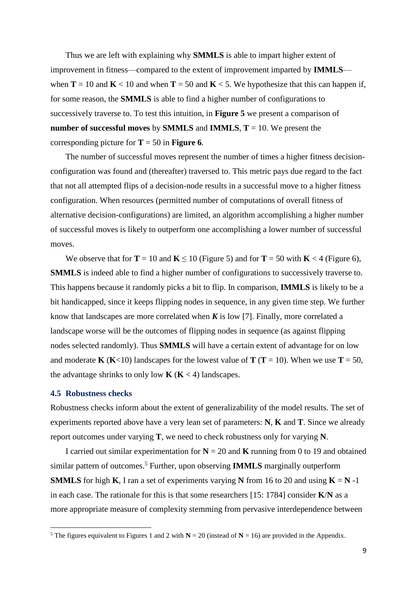Thus we are left with explaining why **SMMLS** is able to impart higher extent of improvement in fitness—compared to the extent of improvement imparted by **IMMLS** when **T** = 10 and **K** < 10 and when **T** = 50 and **K** < 5. We hypothesize that this can happen if, for some reason, the **SMMLS** is able to find a higher number of configurations to successively traverse to. To test this intuition, in **Figure 5** we present a comparison of **number of successful moves** by **SMMLS** and **IMMLS**, **T** = 10. We present the corresponding picture for  $T = 50$  in **Figure 6**.

The number of successful moves represent the number of times a higher fitness decisionconfiguration was found and (thereafter) traversed to. This metric pays due regard to the fact that not all attempted flips of a decision-node results in a successful move to a higher fitness configuration. When resources (permitted number of computations of overall fitness of alternative decision-configurations) are limited, an algorithm accomplishing a higher number of successful moves is likely to outperform one accomplishing a lower number of successful moves.

We observe that for  $T = 10$  and  $K \le 10$  (Figure 5) and for  $T = 50$  with  $K < 4$  (Figure 6), **SMMLS** is indeed able to find a higher number of configurations to successively traverse to. This happens because it randomly picks a bit to flip. In comparison, **IMMLS** is likely to be a bit handicapped, since it keeps flipping nodes in sequence, in any given time step. We further know that landscapes are more correlated when  $K$  is low [7]. Finally, more correlated a landscape worse will be the outcomes of flipping nodes in sequence (as against flipping nodes selected randomly). Thus **SMMLS** will have a certain extent of advantage for on low and moderate **K** (**K**<10) landscapes for the lowest value of **T** (**T** = 10). When we use **T** = 50, the advantage shrinks to only low  $\mathbf{K} (\mathbf{K} < 4)$  landscapes.

#### **4.5 Robustness checks**

**.** 

Robustness checks inform about the extent of generalizability of the model results. The set of experiments reported above have a very lean set of parameters: **N**, **K** and **T**. Since we already report outcomes under varying **T**, we need to check robustness only for varying **N**.

I carried out similar experimentation for  $N = 20$  and **K** running from 0 to 19 and obtained similar pattern of outcomes.<sup>5</sup> Further, upon observing **IMMLS** marginally outperform **SMMLS** for high **K**, I ran a set of experiments varying **N** from 16 to 20 and using  $K = N -1$ in each case. The rationale for this is that some researchers [15: 1784] consider **K**/**N** as a more appropriate measure of complexity stemming from pervasive interdependence between

<sup>&</sup>lt;sup>5</sup> The figures equivalent to Figures 1 and 2 with  $N = 20$  (instead of  $N = 16$ ) are provided in the Appendix.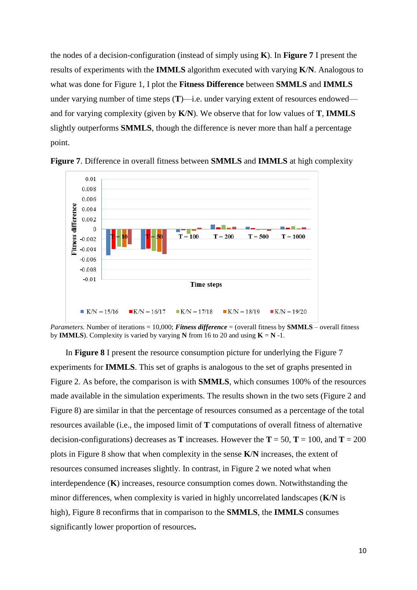the nodes of a decision-configuration (instead of simply using **K**). In **Figure 7** I present the results of experiments with the **IMMLS** algorithm executed with varying **K**/**N**. Analogous to what was done for Figure 1, I plot the **Fitness Difference** between **SMMLS** and **IMMLS** under varying number of time steps  $(T)$ —i.e. under varying extent of resources endowed and for varying complexity (given by **K**/**N**). We observe that for low values of **T**, **IMMLS**  slightly outperforms **SMMLS**, though the difference is never more than half a percentage point.



**Figure 7**. Difference in overall fitness between **SMMLS** and **IMMLS** at high complexity

*Parameters.* Number of iterations = 10,000; *Fitness difference* = (overall fitness by **SMMLS** – overall fitness by **IMMLS**). Complexity is varied by varying **N** from 16 to 20 and using  $K = N -1$ .

In **Figure 8** I present the resource consumption picture for underlying the Figure 7 experiments for **IMMLS**. This set of graphs is analogous to the set of graphs presented in Figure 2. As before, the comparison is with **SMMLS**, which consumes 100% of the resources made available in the simulation experiments. The results shown in the two sets (Figure 2 and Figure 8) are similar in that the percentage of resources consumed as a percentage of the total resources available (i.e., the imposed limit of **T** computations of overall fitness of alternative decision-configurations) decreases as **T** increases. However the **T** = 50, **T** = 100, and **T** = 200 plots in Figure 8 show that when complexity in the sense **K**/**N** increases, the extent of resources consumed increases slightly. In contrast, in Figure 2 we noted what when interdependence (**K**) increases, resource consumption comes down. Notwithstanding the minor differences, when complexity is varied in highly uncorrelated landscapes (**K**/**N** is high), Figure 8 reconfirms that in comparison to the **SMMLS**, the **IMMLS** consumes significantly lower proportion of resources**.**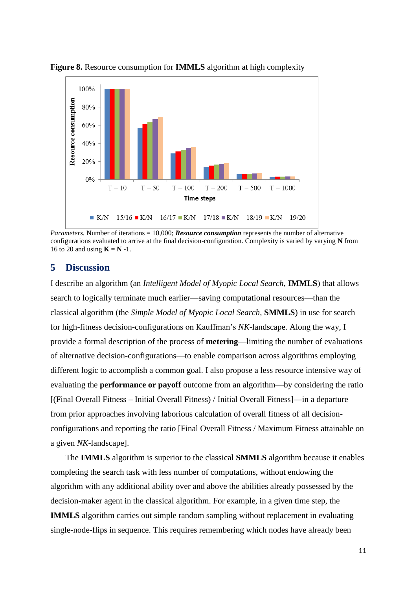

**Figure 8.** Resource consumption for **IMMLS** algorithm at high complexity

*Parameters.* Number of iterations = 10,000; *Resource consumption* represents the number of alternative configurations evaluated to arrive at the final decision-configuration. Complexity is varied by varying **N** from 16 to 20 and using  $\mathbf{K} = \mathbf{N}$  -1.

## **5 Discussion**

I describe an algorithm (an *Intelligent Model of Myopic Local Search*, **IMMLS**) that allows search to logically terminate much earlier—saving computational resources—than the classical algorithm (the *Simple Model of Myopic Local Search,* **SMMLS**) in use for search for high-fitness decision-configurations on Kauffman's *NK*-landscape. Along the way, I provide a formal description of the process of **metering**—limiting the number of evaluations of alternative decision-configurations—to enable comparison across algorithms employing different logic to accomplish a common goal. I also propose a less resource intensive way of evaluating the **performance or payoff** outcome from an algorithm—by considering the ratio [(Final Overall Fitness – Initial Overall Fitness) / Initial Overall Fitness]—in a departure from prior approaches involving laborious calculation of overall fitness of all decisionconfigurations and reporting the ratio [Final Overall Fitness / Maximum Fitness attainable on a given *NK*-landscape].

The **IMMLS** algorithm is superior to the classical **SMMLS** algorithm because it enables completing the search task with less number of computations, without endowing the algorithm with any additional ability over and above the abilities already possessed by the decision-maker agent in the classical algorithm. For example, in a given time step, the **IMMLS** algorithm carries out simple random sampling without replacement in evaluating single-node-flips in sequence. This requires remembering which nodes have already been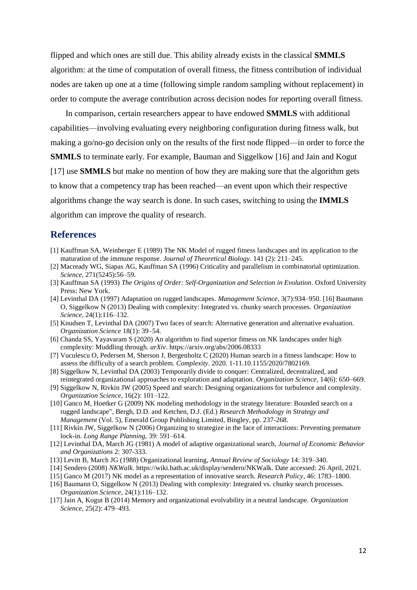flipped and which ones are still due. This ability already exists in the classical **SMMLS** algorithm: at the time of computation of overall fitness, the fitness contribution of individual nodes are taken up one at a time (following simple random sampling without replacement) in order to compute the average contribution across decision nodes for reporting overall fitness.

In comparison, certain researchers appear to have endowed **SMMLS** with additional capabilities—involving evaluating every neighboring configuration during fitness walk, but making a go/no-go decision only on the results of the first node flipped—in order to force the **SMMLS** to terminate early. For example, Bauman and Siggelkow [16] and Jain and Kogut [17] use **SMMLS** but make no mention of how they are making sure that the algorithm gets to know that a competency trap has been reached—an event upon which their respective algorithms change the way search is done. In such cases, switching to using the **IMMLS**  algorithm can improve the quality of research.

## **References**

- [1] Kauffman SA, Weinberger E (1989) The NK Model of rugged fitness landscapes and its application to the maturation of the immune response. *Journal of Theoretical Biology*. 141 (2): 211–245.
- [2] Macready WG, Siapas AG, Kauffman SA (1996) Criticality and parallelism in combinatorial optimization. *Science*, 271(5245):56–59.
- [3] Kauffman SA (1993) *The Origins of Order: Self-Organization and Selection in Evolution*. Oxford University Press: New York.
- [4] Levinthal DA (1997) Adaptation on rugged landscapes. *Management Science*, 3(7):934–950. [16] Baumann O, Siggelkow N (2013) Dealing with complexity: Integrated vs. chunky search processes. *Organization Science*, 24(1):116–132.
- [5] Knudsen T, Levinthal DA (2007) Two faces of search: Alternative generation and alternative evaluation. *Organization Science* 18(1): 39–54.
- [6] Chanda SS, Yayavaram S (2020) An algorithm to find superior fitness on NK landscapes under high complexity: Muddling through. *arXiv*. https://arxiv.org/abs/2006.08333
- [7] Vuculescu O, Pedersen M, Sherson J, Bergenholtz C (2020) Human search in a fitness landscape: How to assess the difficulty of a search problem. *Complexity*. 2020. 1-11.10.1155/2020/7802169.
- [8] Siggelkow N, Levinthal DA (2003) Temporarily divide to conquer: Centralized, decentralized, and reintegrated organizational approaches to exploration and adaptation. *Organization Science*, 14(6): 650–669.
- [9] Siggelkow N, Rivkin JW (2005) Speed and search: Designing organizations for turbulence and complexity. *Organization Science*, 16(2): 101–122.
- [10] Ganco M, Hoetker G (2009) NK modeling methodology in the strategy literature: Bounded search on a rugged landscape", Bergh, D.D. and Ketchen, D.J. (Ed.) *Research Methodology in Strategy and Management* (Vol. 5), Emerald Group Publishing Limited, Bingley, pp. 237-268.
- [11] Rivkin JW, Siggelkow N (2006) Organizing to strategize in the face of interactions: Preventing premature lock-in. *Long Range Planning,* 39: 591–614.
- [12] Levinthal DA, March JG (1981) A model of adaptive organizational search, *Journal of Economic Behavior and Organizations* 2: 307-333.
- [13] Levitt B, March JG (1988) Organizational learning, *Annual Review of Sociology* 14: 319–340.
- [14] Sendero (2008) *NKWalk*. https://wiki.bath.ac.uk/display/sendero/NKWalk. Date accessed: 26 April, 2021.
- [15] Ganco M (2017) NK model as a representation of innovative search. *Research Policy*, 46: 1783–1800.
- [16] Baumann O, Siggelkow N (2013) Dealing with complexity: Integrated vs. chunky search processes. *Organization Science*, 24(1):116–132.
- [17] Jain A, Kogut B (2014) Memory and organizational evolvability in a neutral landscape. *Organization Science*, 25(2): 479–493.